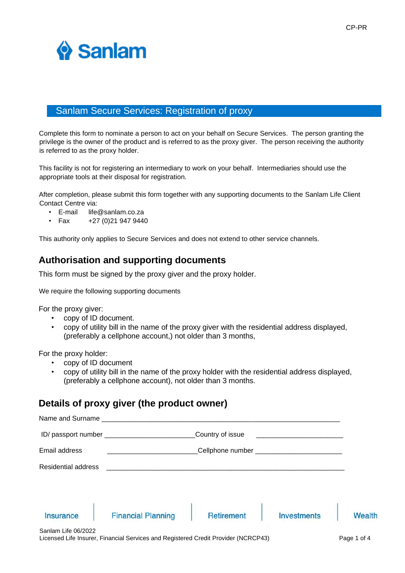

# Sanlam Secure Services: Registration of proxy

Complete this form to nominate a person to act on your behalf on Secure Services. The person granting the privilege is the owner of the product and is referred to as the proxy giver. The person receiving the authority is referred to as the proxy holder.

This facility is not for registering an intermediary to work on your behalf. Intermediaries should use the appropriate tools at their disposal for registration.

After completion, please submit this form together with any supporting documents to the Sanlam Life Client Contact Centre via:

- E-mail life@sanlam.co.za
- Fax  $+27(0)219479440$

This authority only applies to Secure Services and does not extend to other service channels.

# **Authorisation and supporting documents**

This form must be signed by the proxy giver and the proxy holder.

We require the following supporting documents

For the proxy giver:

- copy of ID document.
- copy of utility bill in the name of the proxy giver with the residential address displayed, (preferably a cellphone account,) not older than 3 months,

For the proxy holder:

- copy of ID document
- copy of utility bill in the name of the proxy holder with the residential address displayed, (preferably a cellphone account), not older than 3 months.

# **Details of proxy giver (the product owner)**

| Name and Surname    |                           |                   |                                     |  |  |  |
|---------------------|---------------------------|-------------------|-------------------------------------|--|--|--|
|                     | Country of issue          |                   |                                     |  |  |  |
| Email address       |                           |                   |                                     |  |  |  |
| Residential address |                           |                   |                                     |  |  |  |
|                     |                           |                   |                                     |  |  |  |
| <b>Insurance</b>    | <b>Financial Planning</b> | <b>Retirement</b> | <b>Wealth</b><br><b>Investments</b> |  |  |  |
| Sanlam Life 06/2022 |                           |                   |                                     |  |  |  |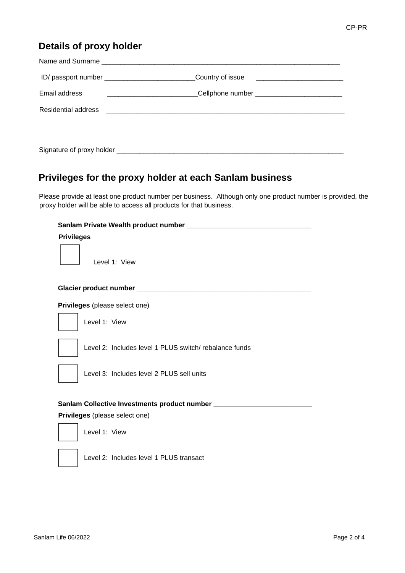# **Details of proxy holder**

|               | ID/ passport number ________________________________Country of issue _______________________________ |  |
|---------------|------------------------------------------------------------------------------------------------------|--|
| Email address |                                                                                                      |  |
|               |                                                                                                      |  |
|               |                                                                                                      |  |

# **Privileges for the proxy holder at each Sanlam business**

Please provide at least one product number per business. Although only one product number is provided, the proxy holder will be able to access all products for that business.

## Sanlam Private Wealth product number \_

#### **Privileges**

Level 1: View

#### **Glacier product number \_\_\_\_\_\_\_\_\_\_\_\_\_\_\_\_\_\_\_\_\_\_\_\_\_\_\_\_\_\_\_\_\_\_\_\_\_\_\_\_\_\_\_\_\_\_**

**Privileges** (please select one)



Level 1: View

Level 2: Includes level 1 PLUS switch/ rebalance funds



Level 3: Includes level 2 PLUS sell units

## **Sanlam Collective Investments product number \_\_\_\_\_\_\_\_\_\_\_\_\_\_\_\_\_\_\_\_\_\_\_\_\_\_**

## **Privileges** (please select one)



Level 1: View

Level 2: Includes level 1 PLUS transact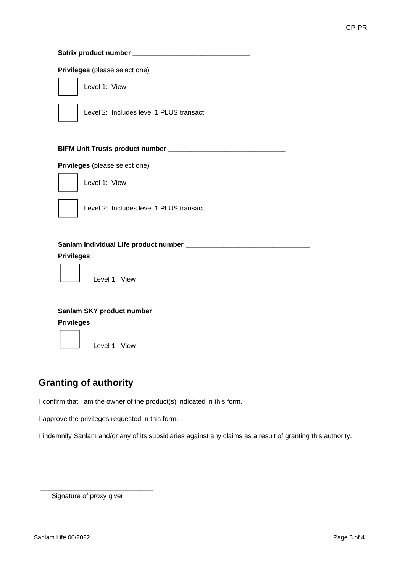## **Satrix product number \_\_\_\_\_\_\_\_\_\_\_\_\_\_\_\_\_\_\_\_\_\_\_\_\_\_\_\_\_\_\_**

#### **Privileges** (please select one)

Level 1: View



Level 2: Includes level 1 PLUS transact

#### **BIFM Unit Trusts product number \_\_\_\_\_\_\_\_\_\_\_\_\_\_\_\_\_\_\_\_\_\_\_\_\_\_\_\_\_\_\_**

#### **Privileges** (please select one)

Level 1: View



Level 2: Includes level 1 PLUS transact

### **Sanlam Individual Life product number \_\_\_\_\_\_\_\_\_\_\_\_\_\_\_\_\_\_\_\_\_\_\_\_\_\_\_\_\_\_\_\_\_**

## **Privileges**

Level 1: View

## **Sanlam SKY product number \_\_\_\_\_\_\_\_\_\_\_\_\_\_\_\_\_\_\_\_\_\_\_\_\_\_\_\_\_\_\_\_\_**

#### **Privileges**



Level 1: View

# **Granting of authority**

I confirm that I am the owner of the product(s) indicated in this form.

I approve the privileges requested in this form.

I indemnify Sanlam and/or any of its subsidiaries against any claims as a result of granting this authority.

Signature of proxy giver

\_\_\_\_\_\_\_\_\_\_\_\_\_\_\_\_\_\_\_\_\_\_\_\_\_\_\_